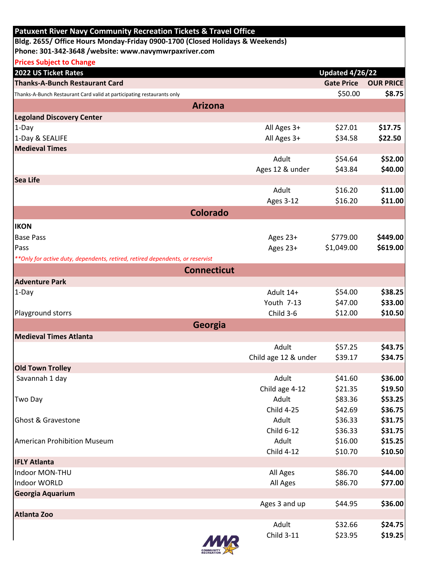| Bldg. 2655/ Office Hours Monday-Friday 0900-1700 (Closed Holidays & Weekends)<br>Phone: 301-342-3648 /website: www.navymwrpaxriver.com<br><b>Prices Subject to Change</b><br><b>Updated 4/26/22</b><br><b>Thanks-A-Bunch Restaurant Card</b><br><b>Gate Price</b><br><b>OUR PRICE</b><br>\$50.00<br>\$8.75<br>Thanks-A-Bunch Restaurant Card valid at participating restaurants only<br><b>Arizona</b><br>All Ages 3+<br>\$27.01<br>\$17.75<br>$1-Day$<br>1-Day & SEALIFE<br>All Ages 3+<br>\$34.58<br>\$22.50<br><b>Medieval Times</b><br>Adult<br>\$54.64<br>\$52.00<br>\$43.84<br>\$40.00<br>Ages 12 & under<br>Sea Life<br>Adult<br>\$16.20<br>\$11.00<br>\$16.20<br>\$11.00<br><b>Ages 3-12</b><br><b>Colorado</b><br><b>IKON</b><br>\$449.00<br><b>Base Pass</b><br>Ages 23+<br>\$779.00<br>Pass<br>\$1,049.00<br>\$619.00<br>Ages 23+<br>** Only for active duty, dependents, retired, retired dependents, or reservist<br><b>Connecticut</b><br><b>Adventure Park</b><br>\$38.25<br>\$54.00<br>$1-Day$<br>Adult 14+<br>Youth 7-13<br>\$47.00<br>\$33.00<br>Child 3-6<br>\$12.00<br>\$10.50<br>Playground storrs<br>Georgia<br>Medieval Times Atlanta<br>Adult<br>\$57.25<br>\$43.75<br>\$39.17<br>\$34.75<br>Child age 12 & under<br><b>Old Town Trolley</b><br>Savannah 1 day<br>Adult<br>\$41.60<br>\$36.00<br>Child age 4-12<br>\$21.35<br>\$19.50<br>Adult<br>\$53.25<br>\$83.36<br>Two Day<br><b>Child 4-25</b><br>\$42.69<br>\$36.75<br>Ghost & Gravestone<br>Adult<br>\$36.33<br>\$31.75<br><b>Child 6-12</b><br>\$36.33<br>\$31.75<br>\$16.00<br>Adult<br>\$15.25<br><b>American Prohibition Museum</b><br><b>Child 4-12</b><br>\$10.70<br>\$10.50<br><b>IFLY Atlanta</b><br>Indoor MON-THU<br>\$86.70<br>\$44.00<br>All Ages<br>\$86.70<br>\$77.00<br>All Ages<br>Georgia Aquarium<br>\$44.95<br>\$36.00<br>Ages 3 and up<br><b>Atlanta Zoo</b><br>Adult<br>\$32.66<br>\$24.75<br><b>Child 3-11</b><br>\$23.95<br>\$19.25 | <b>Patuxent River Navy Community Recreation Tickets &amp; Travel Office</b> |  |  |
|--------------------------------------------------------------------------------------------------------------------------------------------------------------------------------------------------------------------------------------------------------------------------------------------------------------------------------------------------------------------------------------------------------------------------------------------------------------------------------------------------------------------------------------------------------------------------------------------------------------------------------------------------------------------------------------------------------------------------------------------------------------------------------------------------------------------------------------------------------------------------------------------------------------------------------------------------------------------------------------------------------------------------------------------------------------------------------------------------------------------------------------------------------------------------------------------------------------------------------------------------------------------------------------------------------------------------------------------------------------------------------------------------------------------------------------------------------------------------------------------------------------------------------------------------------------------------------------------------------------------------------------------------------------------------------------------------------------------------------------------------------------------------------------------------------------------------------------------------------------------------------------------------------------------------------------------|-----------------------------------------------------------------------------|--|--|
|                                                                                                                                                                                                                                                                                                                                                                                                                                                                                                                                                                                                                                                                                                                                                                                                                                                                                                                                                                                                                                                                                                                                                                                                                                                                                                                                                                                                                                                                                                                                                                                                                                                                                                                                                                                                                                                                                                                                            |                                                                             |  |  |
|                                                                                                                                                                                                                                                                                                                                                                                                                                                                                                                                                                                                                                                                                                                                                                                                                                                                                                                                                                                                                                                                                                                                                                                                                                                                                                                                                                                                                                                                                                                                                                                                                                                                                                                                                                                                                                                                                                                                            |                                                                             |  |  |
|                                                                                                                                                                                                                                                                                                                                                                                                                                                                                                                                                                                                                                                                                                                                                                                                                                                                                                                                                                                                                                                                                                                                                                                                                                                                                                                                                                                                                                                                                                                                                                                                                                                                                                                                                                                                                                                                                                                                            |                                                                             |  |  |
|                                                                                                                                                                                                                                                                                                                                                                                                                                                                                                                                                                                                                                                                                                                                                                                                                                                                                                                                                                                                                                                                                                                                                                                                                                                                                                                                                                                                                                                                                                                                                                                                                                                                                                                                                                                                                                                                                                                                            | 2022 US Ticket Rates                                                        |  |  |
|                                                                                                                                                                                                                                                                                                                                                                                                                                                                                                                                                                                                                                                                                                                                                                                                                                                                                                                                                                                                                                                                                                                                                                                                                                                                                                                                                                                                                                                                                                                                                                                                                                                                                                                                                                                                                                                                                                                                            |                                                                             |  |  |
|                                                                                                                                                                                                                                                                                                                                                                                                                                                                                                                                                                                                                                                                                                                                                                                                                                                                                                                                                                                                                                                                                                                                                                                                                                                                                                                                                                                                                                                                                                                                                                                                                                                                                                                                                                                                                                                                                                                                            |                                                                             |  |  |
|                                                                                                                                                                                                                                                                                                                                                                                                                                                                                                                                                                                                                                                                                                                                                                                                                                                                                                                                                                                                                                                                                                                                                                                                                                                                                                                                                                                                                                                                                                                                                                                                                                                                                                                                                                                                                                                                                                                                            |                                                                             |  |  |
|                                                                                                                                                                                                                                                                                                                                                                                                                                                                                                                                                                                                                                                                                                                                                                                                                                                                                                                                                                                                                                                                                                                                                                                                                                                                                                                                                                                                                                                                                                                                                                                                                                                                                                                                                                                                                                                                                                                                            | <b>Legoland Discovery Center</b>                                            |  |  |
|                                                                                                                                                                                                                                                                                                                                                                                                                                                                                                                                                                                                                                                                                                                                                                                                                                                                                                                                                                                                                                                                                                                                                                                                                                                                                                                                                                                                                                                                                                                                                                                                                                                                                                                                                                                                                                                                                                                                            |                                                                             |  |  |
|                                                                                                                                                                                                                                                                                                                                                                                                                                                                                                                                                                                                                                                                                                                                                                                                                                                                                                                                                                                                                                                                                                                                                                                                                                                                                                                                                                                                                                                                                                                                                                                                                                                                                                                                                                                                                                                                                                                                            |                                                                             |  |  |
|                                                                                                                                                                                                                                                                                                                                                                                                                                                                                                                                                                                                                                                                                                                                                                                                                                                                                                                                                                                                                                                                                                                                                                                                                                                                                                                                                                                                                                                                                                                                                                                                                                                                                                                                                                                                                                                                                                                                            |                                                                             |  |  |
|                                                                                                                                                                                                                                                                                                                                                                                                                                                                                                                                                                                                                                                                                                                                                                                                                                                                                                                                                                                                                                                                                                                                                                                                                                                                                                                                                                                                                                                                                                                                                                                                                                                                                                                                                                                                                                                                                                                                            |                                                                             |  |  |
|                                                                                                                                                                                                                                                                                                                                                                                                                                                                                                                                                                                                                                                                                                                                                                                                                                                                                                                                                                                                                                                                                                                                                                                                                                                                                                                                                                                                                                                                                                                                                                                                                                                                                                                                                                                                                                                                                                                                            |                                                                             |  |  |
|                                                                                                                                                                                                                                                                                                                                                                                                                                                                                                                                                                                                                                                                                                                                                                                                                                                                                                                                                                                                                                                                                                                                                                                                                                                                                                                                                                                                                                                                                                                                                                                                                                                                                                                                                                                                                                                                                                                                            |                                                                             |  |  |
|                                                                                                                                                                                                                                                                                                                                                                                                                                                                                                                                                                                                                                                                                                                                                                                                                                                                                                                                                                                                                                                                                                                                                                                                                                                                                                                                                                                                                                                                                                                                                                                                                                                                                                                                                                                                                                                                                                                                            |                                                                             |  |  |
|                                                                                                                                                                                                                                                                                                                                                                                                                                                                                                                                                                                                                                                                                                                                                                                                                                                                                                                                                                                                                                                                                                                                                                                                                                                                                                                                                                                                                                                                                                                                                                                                                                                                                                                                                                                                                                                                                                                                            |                                                                             |  |  |
|                                                                                                                                                                                                                                                                                                                                                                                                                                                                                                                                                                                                                                                                                                                                                                                                                                                                                                                                                                                                                                                                                                                                                                                                                                                                                                                                                                                                                                                                                                                                                                                                                                                                                                                                                                                                                                                                                                                                            |                                                                             |  |  |
|                                                                                                                                                                                                                                                                                                                                                                                                                                                                                                                                                                                                                                                                                                                                                                                                                                                                                                                                                                                                                                                                                                                                                                                                                                                                                                                                                                                                                                                                                                                                                                                                                                                                                                                                                                                                                                                                                                                                            |                                                                             |  |  |
|                                                                                                                                                                                                                                                                                                                                                                                                                                                                                                                                                                                                                                                                                                                                                                                                                                                                                                                                                                                                                                                                                                                                                                                                                                                                                                                                                                                                                                                                                                                                                                                                                                                                                                                                                                                                                                                                                                                                            |                                                                             |  |  |
|                                                                                                                                                                                                                                                                                                                                                                                                                                                                                                                                                                                                                                                                                                                                                                                                                                                                                                                                                                                                                                                                                                                                                                                                                                                                                                                                                                                                                                                                                                                                                                                                                                                                                                                                                                                                                                                                                                                                            |                                                                             |  |  |
|                                                                                                                                                                                                                                                                                                                                                                                                                                                                                                                                                                                                                                                                                                                                                                                                                                                                                                                                                                                                                                                                                                                                                                                                                                                                                                                                                                                                                                                                                                                                                                                                                                                                                                                                                                                                                                                                                                                                            |                                                                             |  |  |
|                                                                                                                                                                                                                                                                                                                                                                                                                                                                                                                                                                                                                                                                                                                                                                                                                                                                                                                                                                                                                                                                                                                                                                                                                                                                                                                                                                                                                                                                                                                                                                                                                                                                                                                                                                                                                                                                                                                                            |                                                                             |  |  |
|                                                                                                                                                                                                                                                                                                                                                                                                                                                                                                                                                                                                                                                                                                                                                                                                                                                                                                                                                                                                                                                                                                                                                                                                                                                                                                                                                                                                                                                                                                                                                                                                                                                                                                                                                                                                                                                                                                                                            |                                                                             |  |  |
|                                                                                                                                                                                                                                                                                                                                                                                                                                                                                                                                                                                                                                                                                                                                                                                                                                                                                                                                                                                                                                                                                                                                                                                                                                                                                                                                                                                                                                                                                                                                                                                                                                                                                                                                                                                                                                                                                                                                            |                                                                             |  |  |
|                                                                                                                                                                                                                                                                                                                                                                                                                                                                                                                                                                                                                                                                                                                                                                                                                                                                                                                                                                                                                                                                                                                                                                                                                                                                                                                                                                                                                                                                                                                                                                                                                                                                                                                                                                                                                                                                                                                                            |                                                                             |  |  |
|                                                                                                                                                                                                                                                                                                                                                                                                                                                                                                                                                                                                                                                                                                                                                                                                                                                                                                                                                                                                                                                                                                                                                                                                                                                                                                                                                                                                                                                                                                                                                                                                                                                                                                                                                                                                                                                                                                                                            |                                                                             |  |  |
|                                                                                                                                                                                                                                                                                                                                                                                                                                                                                                                                                                                                                                                                                                                                                                                                                                                                                                                                                                                                                                                                                                                                                                                                                                                                                                                                                                                                                                                                                                                                                                                                                                                                                                                                                                                                                                                                                                                                            |                                                                             |  |  |
|                                                                                                                                                                                                                                                                                                                                                                                                                                                                                                                                                                                                                                                                                                                                                                                                                                                                                                                                                                                                                                                                                                                                                                                                                                                                                                                                                                                                                                                                                                                                                                                                                                                                                                                                                                                                                                                                                                                                            |                                                                             |  |  |
|                                                                                                                                                                                                                                                                                                                                                                                                                                                                                                                                                                                                                                                                                                                                                                                                                                                                                                                                                                                                                                                                                                                                                                                                                                                                                                                                                                                                                                                                                                                                                                                                                                                                                                                                                                                                                                                                                                                                            |                                                                             |  |  |
|                                                                                                                                                                                                                                                                                                                                                                                                                                                                                                                                                                                                                                                                                                                                                                                                                                                                                                                                                                                                                                                                                                                                                                                                                                                                                                                                                                                                                                                                                                                                                                                                                                                                                                                                                                                                                                                                                                                                            |                                                                             |  |  |
|                                                                                                                                                                                                                                                                                                                                                                                                                                                                                                                                                                                                                                                                                                                                                                                                                                                                                                                                                                                                                                                                                                                                                                                                                                                                                                                                                                                                                                                                                                                                                                                                                                                                                                                                                                                                                                                                                                                                            |                                                                             |  |  |
|                                                                                                                                                                                                                                                                                                                                                                                                                                                                                                                                                                                                                                                                                                                                                                                                                                                                                                                                                                                                                                                                                                                                                                                                                                                                                                                                                                                                                                                                                                                                                                                                                                                                                                                                                                                                                                                                                                                                            |                                                                             |  |  |
|                                                                                                                                                                                                                                                                                                                                                                                                                                                                                                                                                                                                                                                                                                                                                                                                                                                                                                                                                                                                                                                                                                                                                                                                                                                                                                                                                                                                                                                                                                                                                                                                                                                                                                                                                                                                                                                                                                                                            |                                                                             |  |  |
|                                                                                                                                                                                                                                                                                                                                                                                                                                                                                                                                                                                                                                                                                                                                                                                                                                                                                                                                                                                                                                                                                                                                                                                                                                                                                                                                                                                                                                                                                                                                                                                                                                                                                                                                                                                                                                                                                                                                            |                                                                             |  |  |
|                                                                                                                                                                                                                                                                                                                                                                                                                                                                                                                                                                                                                                                                                                                                                                                                                                                                                                                                                                                                                                                                                                                                                                                                                                                                                                                                                                                                                                                                                                                                                                                                                                                                                                                                                                                                                                                                                                                                            |                                                                             |  |  |
|                                                                                                                                                                                                                                                                                                                                                                                                                                                                                                                                                                                                                                                                                                                                                                                                                                                                                                                                                                                                                                                                                                                                                                                                                                                                                                                                                                                                                                                                                                                                                                                                                                                                                                                                                                                                                                                                                                                                            |                                                                             |  |  |
|                                                                                                                                                                                                                                                                                                                                                                                                                                                                                                                                                                                                                                                                                                                                                                                                                                                                                                                                                                                                                                                                                                                                                                                                                                                                                                                                                                                                                                                                                                                                                                                                                                                                                                                                                                                                                                                                                                                                            |                                                                             |  |  |
|                                                                                                                                                                                                                                                                                                                                                                                                                                                                                                                                                                                                                                                                                                                                                                                                                                                                                                                                                                                                                                                                                                                                                                                                                                                                                                                                                                                                                                                                                                                                                                                                                                                                                                                                                                                                                                                                                                                                            |                                                                             |  |  |
|                                                                                                                                                                                                                                                                                                                                                                                                                                                                                                                                                                                                                                                                                                                                                                                                                                                                                                                                                                                                                                                                                                                                                                                                                                                                                                                                                                                                                                                                                                                                                                                                                                                                                                                                                                                                                                                                                                                                            |                                                                             |  |  |
|                                                                                                                                                                                                                                                                                                                                                                                                                                                                                                                                                                                                                                                                                                                                                                                                                                                                                                                                                                                                                                                                                                                                                                                                                                                                                                                                                                                                                                                                                                                                                                                                                                                                                                                                                                                                                                                                                                                                            |                                                                             |  |  |
|                                                                                                                                                                                                                                                                                                                                                                                                                                                                                                                                                                                                                                                                                                                                                                                                                                                                                                                                                                                                                                                                                                                                                                                                                                                                                                                                                                                                                                                                                                                                                                                                                                                                                                                                                                                                                                                                                                                                            |                                                                             |  |  |
|                                                                                                                                                                                                                                                                                                                                                                                                                                                                                                                                                                                                                                                                                                                                                                                                                                                                                                                                                                                                                                                                                                                                                                                                                                                                                                                                                                                                                                                                                                                                                                                                                                                                                                                                                                                                                                                                                                                                            | Indoor WORLD                                                                |  |  |
|                                                                                                                                                                                                                                                                                                                                                                                                                                                                                                                                                                                                                                                                                                                                                                                                                                                                                                                                                                                                                                                                                                                                                                                                                                                                                                                                                                                                                                                                                                                                                                                                                                                                                                                                                                                                                                                                                                                                            |                                                                             |  |  |
|                                                                                                                                                                                                                                                                                                                                                                                                                                                                                                                                                                                                                                                                                                                                                                                                                                                                                                                                                                                                                                                                                                                                                                                                                                                                                                                                                                                                                                                                                                                                                                                                                                                                                                                                                                                                                                                                                                                                            |                                                                             |  |  |
|                                                                                                                                                                                                                                                                                                                                                                                                                                                                                                                                                                                                                                                                                                                                                                                                                                                                                                                                                                                                                                                                                                                                                                                                                                                                                                                                                                                                                                                                                                                                                                                                                                                                                                                                                                                                                                                                                                                                            |                                                                             |  |  |
|                                                                                                                                                                                                                                                                                                                                                                                                                                                                                                                                                                                                                                                                                                                                                                                                                                                                                                                                                                                                                                                                                                                                                                                                                                                                                                                                                                                                                                                                                                                                                                                                                                                                                                                                                                                                                                                                                                                                            |                                                                             |  |  |
|                                                                                                                                                                                                                                                                                                                                                                                                                                                                                                                                                                                                                                                                                                                                                                                                                                                                                                                                                                                                                                                                                                                                                                                                                                                                                                                                                                                                                                                                                                                                                                                                                                                                                                                                                                                                                                                                                                                                            | <b>MMD</b>                                                                  |  |  |

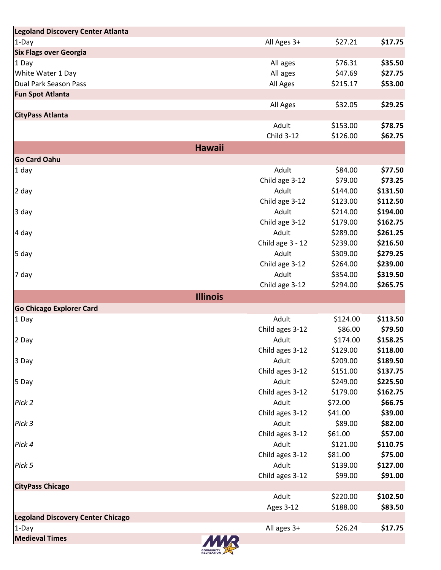| Legoland Discovery Center Atlanta        |                   |          |          |
|------------------------------------------|-------------------|----------|----------|
| $1-Day$                                  | All Ages 3+       | \$27.21  | \$17.75  |
| <b>Six Flags over Georgia</b>            |                   |          |          |
| 1 Day                                    | All ages          | \$76.31  | \$35.50  |
| White Water 1 Day                        | All ages          | \$47.69  | \$27.75  |
| Dual Park Season Pass                    | All Ages          | \$215.17 | \$53.00  |
| <b>Fun Spot Atlanta</b>                  |                   |          |          |
|                                          | All Ages          | \$32.05  | \$29.25  |
| <b>CityPass Atlanta</b>                  |                   |          |          |
|                                          | Adult             | \$153.00 | \$78.75  |
|                                          | <b>Child 3-12</b> | \$126.00 | \$62.75  |
| <b>Hawaii</b>                            |                   |          |          |
| <b>Go Card Oahu</b>                      |                   |          |          |
| $1$ day                                  | Adult             | \$84.00  | \$77.50  |
|                                          | Child age 3-12    | \$79.00  | \$73.25  |
| 2 day                                    | Adult             | \$144.00 | \$131.50 |
|                                          | Child age 3-12    | \$123.00 | \$112.50 |
| 3 day                                    | Adult             | \$214.00 | \$194.00 |
|                                          | Child age 3-12    | \$179.00 | \$162.75 |
| 4 day                                    | Adult             | \$289.00 | \$261.25 |
|                                          | Child age 3 - 12  | \$239.00 | \$216.50 |
| 5 day                                    | Adult             | \$309.00 | \$279.25 |
|                                          | Child age 3-12    | \$264.00 | \$239.00 |
| 7 day                                    | Adult             | \$354.00 | \$319.50 |
|                                          | Child age 3-12    | \$294.00 | \$265.75 |
| <b>Illinois</b>                          |                   |          |          |
| <b>Go Chicago Explorer Card</b>          |                   |          |          |
| 1 Day                                    | Adult             | \$124.00 | \$113.50 |
|                                          | Child ages 3-12   | \$86.00  | \$79.50  |
| 2 Day                                    | Adult             | \$174.00 | \$158.25 |
|                                          | Child ages 3-12   | \$129.00 | \$118.00 |
| 3 Day                                    | Adult             | \$209.00 | \$189.50 |
|                                          | Child ages 3-12   | \$151.00 | \$137.75 |
| 5 Day                                    | Adult             | \$249.00 | \$225.50 |
|                                          | Child ages 3-12   | \$179.00 | \$162.75 |
| Pick 2                                   | Adult             | \$72.00  | \$66.75  |
|                                          | Child ages 3-12   | \$41.00  | \$39.00  |
| Pick 3                                   | Adult             | \$89.00  | \$82.00  |
|                                          | Child ages 3-12   | \$61.00  | \$57.00  |
| Pick 4                                   | Adult             | \$121.00 | \$110.75 |
|                                          | Child ages 3-12   | \$81.00  | \$75.00  |
| Pick 5                                   | Adult             | \$139.00 | \$127.00 |
|                                          | Child ages 3-12   | \$99.00  | \$91.00  |
| <b>CityPass Chicago</b>                  |                   |          |          |
|                                          | Adult             | \$220.00 | \$102.50 |
|                                          | <b>Ages 3-12</b>  | \$188.00 | \$83.50  |
| <b>Legoland Discovery Center Chicago</b> |                   |          |          |
| $1$ -Day                                 | All ages 3+       | \$26.24  | \$17.75  |
| <b>Medieval Times</b>                    |                   |          |          |
|                                          |                   |          |          |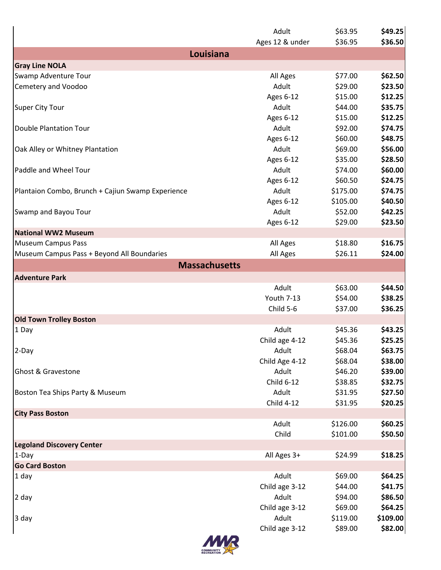|                                                   | Adult              | \$63.95  | \$49.25<br>\$36.50 |
|---------------------------------------------------|--------------------|----------|--------------------|
| Louisiana                                         | Ages 12 & under    | \$36.95  |                    |
| <b>Gray Line NOLA</b>                             |                    |          |                    |
| Swamp Adventure Tour                              | All Ages           | \$77.00  | \$62.50            |
| Cemetery and Voodoo                               | Adult              | \$29.00  | \$23.50            |
|                                                   | Ages 6-12          | \$15.00  | \$12.25            |
| Super City Tour                                   | Adult              | \$44.00  | \$35.75            |
|                                                   | Ages 6-12          | \$15.00  | \$12.25            |
| Double Plantation Tour                            | Adult              | \$92.00  | \$74.75            |
|                                                   | Ages 6-12          | \$60.00  | \$48.75            |
| Oak Alley or Whitney Plantation                   | Adult              | \$69.00  | \$56.00            |
|                                                   |                    | \$35.00  | \$28.50            |
| Paddle and Wheel Tour                             | Ages 6-12<br>Adult | \$74.00  |                    |
|                                                   |                    |          | \$60.00            |
|                                                   | <b>Ages 6-12</b>   | \$60.50  | \$24.75            |
| Plantaion Combo, Brunch + Cajiun Swamp Experience | Adult              | \$175.00 | \$74.75            |
|                                                   | Ages 6-12          | \$105.00 | \$40.50            |
| Swamp and Bayou Tour                              | Adult              | \$52.00  | \$42.25            |
|                                                   | Ages 6-12          | \$29.00  | \$23.50            |
| National WW2 Museum                               |                    |          |                    |
| Museum Campus Pass                                | All Ages           | \$18.80  | \$16.75            |
| Museum Campus Pass + Beyond All Boundaries        | All Ages           | \$26.11  | \$24.00            |
| <b>Massachusetts</b>                              |                    |          |                    |
| <b>Adventure Park</b>                             |                    |          |                    |
|                                                   | Adult              | \$63.00  | \$44.50            |
|                                                   | Youth 7-13         | \$54.00  | \$38.25            |
|                                                   | Child 5-6          | \$37.00  | \$36.25            |
| <b>Old Town Trolley Boston</b>                    |                    |          |                    |
| 1 Day                                             | Adult              | \$45.36  | \$43.25            |
|                                                   | Child age 4-12     | \$45.36  | \$25.25            |
| 2-Day                                             | Adult              | \$68.04  | \$63.75            |
|                                                   | Child Age 4-12     | \$68.04  | \$38.00            |
| <b>Ghost &amp; Gravestone</b>                     | Adult              | \$46.20  | \$39.00            |
|                                                   | Child 6-12         | \$38.85  | \$32.75            |
| Boston Tea Ships Party & Museum                   | Adult              | \$31.95  | \$27.50            |
|                                                   | <b>Child 4-12</b>  | \$31.95  | \$20.25            |
| <b>City Pass Boston</b>                           |                    |          |                    |
|                                                   | Adult              | \$126.00 | \$60.25            |
|                                                   | Child              | \$101.00 | \$50.50            |
| <b>Legoland Discovery Center</b>                  |                    |          |                    |
|                                                   |                    | \$24.99  |                    |
| $1-Day$                                           | All Ages 3+        |          | \$18.25            |
| <b>Go Card Boston</b>                             |                    |          |                    |
| 1 day                                             | Adult              | \$69.00  | \$64.25            |
|                                                   | Child age 3-12     | \$44.00  | \$41.75            |
| 2 day                                             | Adult              | \$94.00  | \$86.50            |
|                                                   | Child age 3-12     | \$69.00  | \$64.25            |
| 3 day                                             | Adult              | \$119.00 | \$109.00           |
|                                                   | Child age 3-12     | \$89.00  | \$82.00            |
| <i><b>AAAD</b></i>                                |                    |          |                    |

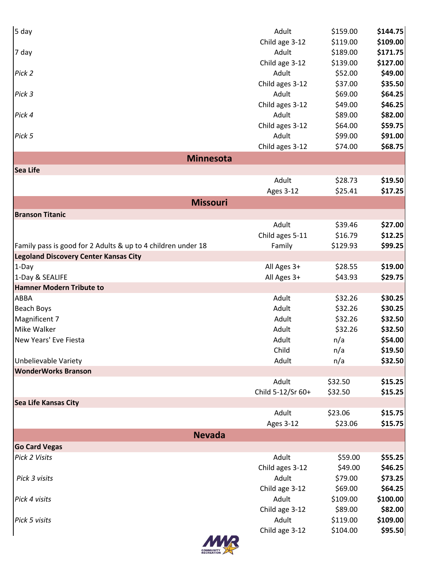| 5 <sub>day</sub>                                             | Adult             | \$159.00 | \$144.75  |
|--------------------------------------------------------------|-------------------|----------|-----------|
|                                                              | Child age 3-12    | \$119.00 | \$109.00  |
| 7 day                                                        | Adult             | \$189.00 | \$171.75  |
|                                                              | Child age 3-12    | \$139.00 | \$127.00  |
| Pick 2                                                       | Adult             | \$52.00  | \$49.00   |
|                                                              | Child ages 3-12   | \$37.00  | \$35.50   |
| Pick 3                                                       | Adult             | \$69.00  | \$64.25   |
|                                                              | Child ages 3-12   | \$49.00  | \$46.25   |
| Pick 4                                                       | Adult             | \$89.00  | \$82.00   |
|                                                              | Child ages 3-12   | \$64.00  | \$59.75   |
| Pick 5                                                       | Adult             | \$99.00  | \$91.00   |
|                                                              | Child ages 3-12   | \$74.00  | \$68.75   |
| <b>Minnesota</b>                                             |                   |          |           |
| <b>Sea Life</b>                                              |                   |          |           |
|                                                              | Adult             | \$28.73  | \$19.50   |
|                                                              | <b>Ages 3-12</b>  | \$25.41  | \$17.25   |
| <b>Missouri</b>                                              |                   |          |           |
| <b>Branson Titanic</b>                                       |                   |          |           |
|                                                              | Adult             | \$39.46  | \$27.00   |
|                                                              | Child ages 5-11   | \$16.79  | \$12.25   |
| Family pass is good for 2 Adults & up to 4 children under 18 | Family            | \$129.93 | \$99.25   |
| <b>Legoland Discovery Center Kansas City</b>                 |                   |          |           |
| 1-Day                                                        | All Ages 3+       | \$28.55  | \$19.00   |
| 1-Day & SEALIFE                                              | All Ages 3+       | \$43.93  | \$29.75   |
| <b>Hamner Modern Tribute to</b>                              |                   |          |           |
| ABBA                                                         | Adult             | \$32.26  | \$30.25   |
| <b>Beach Boys</b>                                            | Adult             | \$32.26  | \$30.25   |
| Magnificent 7                                                | Adult             | \$32.26  | \$32.50   |
| Mike Walker                                                  | Adult             | \$32.26  | \$32.50   |
| New Years' Eve Fiesta                                        | Adult             | n/a      | \$54.00   |
|                                                              | Child             | n/a      | \$19.50   |
| Unbelievable Variety                                         | Adult             | n/a      | \$32.50   |
| <b>WonderWorks Branson</b>                                   |                   |          |           |
|                                                              | Adult             | \$32.50  | \$15.25   |
|                                                              | Child 5-12/Sr 60+ | \$32.50  | \$15.25   |
| Sea Life Kansas City                                         |                   |          |           |
|                                                              | Adult             | \$23.06  | \$15.75   |
|                                                              | <b>Ages 3-12</b>  | \$23.06  | \$15.75   |
| <b>Nevada</b>                                                |                   |          |           |
| <b>Go Card Vegas</b>                                         |                   |          |           |
| Pick 2 Visits                                                | Adult             | \$59.00  | \$55.25   |
|                                                              | Child ages 3-12   | \$49.00  | \$46.25   |
| Pick 3 visits                                                | Adult             | \$79.00  | \$73.25   |
|                                                              | Child age 3-12    | \$69.00  | \$64.25   |
| Pick 4 visits                                                | Adult             | \$109.00 | \$100.00] |
|                                                              | Child age 3-12    | \$89.00  | \$82.00   |
| Pick 5 visits                                                | Adult             | \$119.00 | \$109.00  |
|                                                              | Child age 3-12    | \$104.00 | \$95.50   |
| <b>AAAD</b>                                                  |                   |          |           |

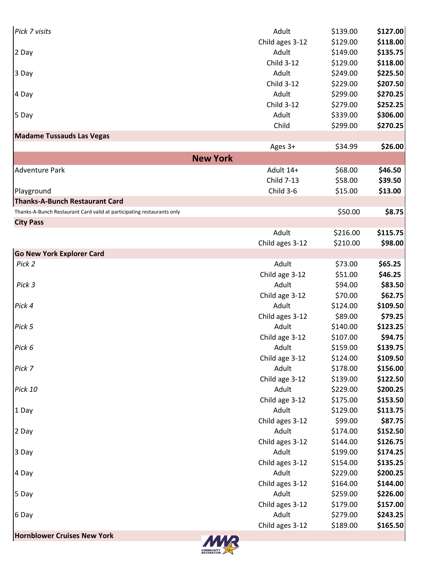| <b>Hornblower Cruises New York</b><br><b>MAD</b>                       |                   |          |          |
|------------------------------------------------------------------------|-------------------|----------|----------|
|                                                                        | Child ages 3-12   | \$189.00 | \$165.50 |
| 6 Day                                                                  | Adult             | \$279.00 | \$243.25 |
|                                                                        | Child ages 3-12   | \$179.00 | \$157.00 |
| 5 Day                                                                  | Adult             | \$259.00 | \$226.00 |
|                                                                        | Child ages 3-12   | \$164.00 | \$144.00 |
| 4 Day                                                                  | Adult             | \$229.00 | \$200.25 |
|                                                                        | Child ages 3-12   | \$154.00 | \$135.25 |
| 3 Day                                                                  | Adult             | \$199.00 | \$174.25 |
|                                                                        | Child ages 3-12   | \$144.00 | \$126.75 |
| 2 Day                                                                  | Adult             | \$174.00 | \$152.50 |
|                                                                        | Child ages 3-12   | \$99.00  | \$87.75  |
| 1 Day                                                                  | Adult             | \$129.00 | \$113.75 |
|                                                                        | Child age 3-12    | \$175.00 | \$153.50 |
| Pick 10                                                                | Adult             | \$229.00 | \$200.25 |
|                                                                        | Child age 3-12    | \$139.00 | \$122.50 |
| Pick 7                                                                 | Adult             | \$178.00 | \$156.00 |
|                                                                        | Child age 3-12    | \$124.00 | \$109.50 |
| Pick 6                                                                 | Adult             | \$159.00 | \$139.75 |
|                                                                        | Child age 3-12    | \$107.00 | \$94.75  |
| Pick 5                                                                 | Adult             | \$140.00 | \$123.25 |
|                                                                        | Child ages 3-12   | \$89.00  | \$79.25  |
| Pick 4                                                                 | Adult             | \$124.00 | \$109.50 |
|                                                                        | Child age 3-12    | \$70.00  | \$62.75  |
| Pick 3                                                                 | Adult             | \$94.00  | \$83.50  |
|                                                                        | Child age 3-12    | \$51.00  | \$46.25  |
| Pick 2                                                                 | Adult             | \$73.00  | \$65.25  |
| <b>Go New York Explorer Card</b>                                       |                   |          |          |
|                                                                        | Child ages 3-12   | \$210.00 | \$98.00  |
|                                                                        | Adult             | \$216.00 | \$115.75 |
| <b>City Pass</b>                                                       |                   |          |          |
| Thanks-A-Bunch Restaurant Card valid at participating restaurants only |                   | \$50.00  | \$8.75   |
| <b>Thanks-A-Bunch Restaurant Card</b>                                  |                   |          |          |
| Playground                                                             | Child 3-6         | \$15.00  | \$13.00  |
|                                                                        | <b>Child 7-13</b> | \$58.00  | \$39.50  |
| <b>Adventure Park</b>                                                  | Adult 14+         | \$68.00  | \$46.50  |
|                                                                        |                   |          |          |
| <b>New York</b>                                                        |                   |          |          |
|                                                                        | Ages 3+           | \$34.99  | \$26.00  |
| <b>Madame Tussauds Las Vegas</b>                                       |                   |          |          |
|                                                                        | Child             | \$299.00 | \$270.25 |
| 5 Day                                                                  | Adult             | \$339.00 | \$306.00 |
|                                                                        | <b>Child 3-12</b> | \$279.00 | \$252.25 |
| 4 Day                                                                  | Adult             | \$299.00 | \$270.25 |
|                                                                        | <b>Child 3-12</b> | \$229.00 | \$207.50 |
| 3 Day                                                                  | Adult             | \$249.00 | \$225.50 |
|                                                                        | <b>Child 3-12</b> | \$129.00 | \$118.00 |
| 2 Day                                                                  | Adult             | \$149.00 | \$135.75 |
|                                                                        | Child ages 3-12   | \$129.00 | \$118.00 |
| Pick 7 visits                                                          | Adult             | \$139.00 | \$127.00 |

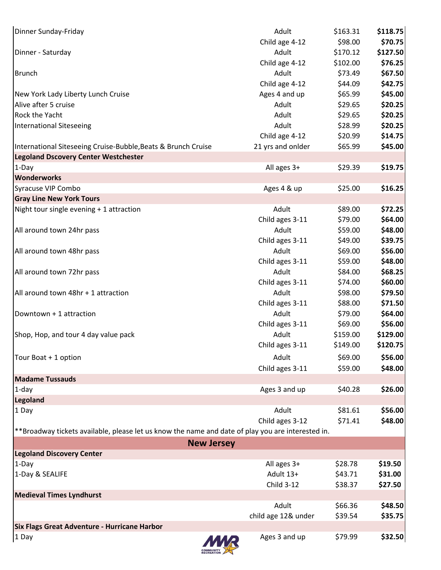| Dinner Sunday-Friday                                                                              | Adult               | \$163.31 | \$118.75 |
|---------------------------------------------------------------------------------------------------|---------------------|----------|----------|
|                                                                                                   | Child age 4-12      | \$98.00  | \$70.75  |
| Dinner - Saturday                                                                                 | Adult               | \$170.12 | \$127.50 |
|                                                                                                   | Child age 4-12      | \$102.00 | \$76.25  |
| Brunch                                                                                            | Adult               | \$73.49  | \$67.50  |
|                                                                                                   | Child age 4-12      | \$44.09  | \$42.75  |
| New York Lady Liberty Lunch Cruise                                                                | Ages 4 and up       | \$65.99  | \$45.00  |
| Alive after 5 cruise                                                                              | Adult               | \$29.65  | \$20.25  |
| <b>Rock the Yacht</b>                                                                             | Adult               | \$29.65  | \$20.25  |
| International Siteseeing                                                                          | Adult               | \$28.99  | \$20.25  |
|                                                                                                   | Child age 4-12      | \$20.99  | \$14.75  |
| International Siteseeing Cruise-Bubble, Beats & Brunch Cruise                                     | 21 yrs and onlder   | \$65.99  | \$45.00  |
| <b>Legoland Dscovery Center Westchester</b>                                                       |                     |          |          |
| $1-Day$                                                                                           | All ages 3+         | \$29.39  | \$19.75  |
| <b>Wonderworks</b>                                                                                |                     |          |          |
| Syracuse VIP Combo                                                                                | Ages 4 & up         | \$25.00  | \$16.25  |
| <b>Gray Line New York Tours</b>                                                                   |                     |          |          |
| Night tour single evening + 1 attraction                                                          | Adult               | \$89.00  | \$72.25  |
|                                                                                                   | Child ages 3-11     | \$79.00  | \$64.00  |
| All around town 24hr pass                                                                         | Adult               | \$59.00  | \$48.00  |
|                                                                                                   | Child ages 3-11     | \$49.00  | \$39.75  |
| All around town 48hr pass                                                                         | Adult               | \$69.00  | \$56.00  |
|                                                                                                   | Child ages 3-11     | \$59.00  | \$48.00  |
| All around town 72hr pass                                                                         | Adult               | \$84.00  | \$68.25  |
|                                                                                                   | Child ages 3-11     | \$74.00  | \$60.00  |
| All around town 48hr + 1 attraction                                                               | Adult               | \$98.00  | \$79.50  |
|                                                                                                   | Child ages 3-11     | \$88.00  | \$71.50  |
| Downtown + 1 attraction                                                                           | Adult               | \$79.00  | \$64.00  |
|                                                                                                   | Child ages 3-11     | \$69.00  | \$56.00  |
| Shop, Hop, and tour 4 day value pack                                                              | Adult               | \$159.00 | \$129.00 |
|                                                                                                   | Child ages 3-11     | \$149.00 | \$120.75 |
| Tour Boat + 1 option                                                                              | Adult               | \$69.00  | \$56.00  |
|                                                                                                   | Child ages 3-11     | \$59.00  | \$48.00  |
| <b>Madame Tussauds</b>                                                                            |                     |          |          |
| $1$ -day                                                                                          | Ages 3 and up       | \$40.28  | \$26.00  |
| Legoland                                                                                          |                     |          |          |
| 1 Day                                                                                             | Adult               | \$81.61  | \$56.00  |
|                                                                                                   | Child ages 3-12     | \$71.41  | \$48.00  |
| **Broadway tickets available, please let us know the name and date of play you are interested in. |                     |          |          |
| <b>New Jersey</b>                                                                                 |                     |          |          |
| <b>Legoland Discovery Center</b>                                                                  |                     |          |          |
| $1-Day$                                                                                           | All ages 3+         | \$28.78  | \$19.50  |
| 1-Day & SEALIFE                                                                                   | Adult 13+           | \$43.71  | \$31.00  |
|                                                                                                   | <b>Child 3-12</b>   | \$38.37  | \$27.50  |
| <b>Medieval Times Lyndhurst</b>                                                                   |                     |          |          |
|                                                                                                   | Adult               | \$66.36  | \$48.50  |
|                                                                                                   | child age 12& under | \$39.54  | \$35.75  |
| <b>Six Flags Great Adventure - Hurricane Harbor</b>                                               |                     |          |          |
| $1$ Day<br>MMR                                                                                    | Ages 3 and up       | \$79.99  | \$32.50  |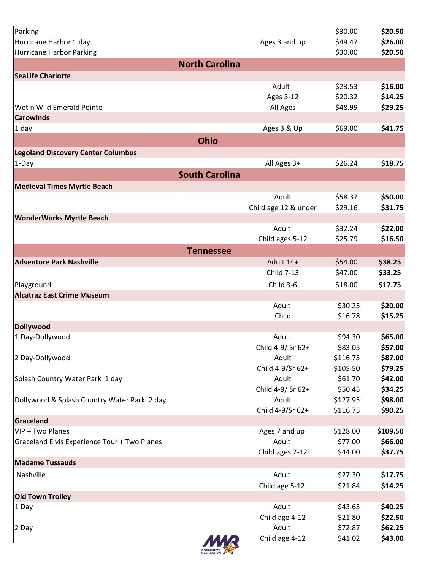| Parking                                      |                            | \$30.00             | \$20.50            |
|----------------------------------------------|----------------------------|---------------------|--------------------|
| Hurricane Harbor 1 day                       | Ages 3 and up              | \$49.47             | \$26.00            |
| Hurricane Harbor Parking                     |                            | \$30.00             | \$20.50            |
| <b>North Carolina</b>                        |                            |                     |                    |
| <b>SeaLife Charlotte</b>                     |                            |                     |                    |
|                                              | Adult                      | \$23.53             | \$16.00            |
|                                              | <b>Ages 3-12</b>           | \$20.32             | \$14.25            |
| Wet n Wild Emerald Pointe                    | All Ages                   | \$48.99             | \$29.25            |
| <b>Carowinds</b>                             |                            |                     |                    |
| 1 day                                        | Ages 3 & Up                | \$69.00             | \$41.75            |
| <b>Ohio</b>                                  |                            |                     |                    |
| <b>Legoland Discovery Center Columbus</b>    |                            |                     |                    |
| $1-Day$                                      | All Ages 3+                | \$26.24             | \$18.75            |
| <b>South Carolina</b>                        |                            |                     |                    |
| <b>Medieval Times Myrtle Beach</b>           |                            |                     |                    |
|                                              | Adult                      | \$58.37             | \$50.00            |
|                                              | Child age 12 & under       | \$29.16             | \$31.75            |
| <b>WonderWorks Myrtle Beach</b>              |                            |                     |                    |
|                                              | Adult                      | \$32.24             | \$22.00            |
|                                              | Child ages 5-12            | \$25.79             | \$16.50            |
| <b>Tennessee</b>                             |                            |                     |                    |
| <b>Adventure Park Nashville</b>              | Adult 14+                  | \$54.00             | \$38.25            |
|                                              | Child 7-13                 | \$47.00             | \$33.25            |
| Playground                                   | Child 3-6                  | \$18.00             | \$17.75            |
| <b>Alcatraz East Crime Museum</b>            |                            |                     |                    |
|                                              | Adult                      | \$30.25             | \$20.00            |
|                                              | Child                      | \$16.78             | \$15.25            |
| Dollywood                                    |                            |                     |                    |
| 1 Day-Dollywood                              | Adult                      | \$94.30             | \$65.00            |
|                                              | Child 4-9/ Sr 62+          | \$83.05             | \$57.00            |
| 2 Day-Dollywood                              | Adult                      | \$116.75            | \$87.00            |
|                                              | Child 4-9/Sr 62+           | \$105.50            | \$79.25            |
| Splash Country Water Park 1 day              | Adult<br>Child 4-9/ Sr 62+ | \$61.70             | \$42.00            |
| Dollywood & Splash Country Water Park 2 day  | Adult                      | \$50.45<br>\$127.95 | \$34.25<br>\$98.00 |
|                                              | Child 4-9/Sr 62+           | \$116.75            | \$90.25            |
| Graceland                                    |                            |                     |                    |
| VIP + Two Planes                             | Ages 7 and up              | \$128.00            | \$109.50           |
| Graceland Elvis Experience Tour + Two Planes | Adult                      | \$77.00             | \$66.00            |
|                                              | Child ages 7-12            | \$44.00             | \$37.75            |
| <b>Madame Tussauds</b>                       |                            |                     |                    |
| Nashville                                    | Adult                      | \$27.30             | \$17.75            |
|                                              | Child age 5-12             | \$21.84             | \$14.25            |
| <b>Old Town Trolley</b>                      |                            |                     |                    |
| 1 Day                                        | Adult                      | \$43.65             | \$40.25            |
|                                              | Child age 4-12             | \$21.80             | \$22.50            |
| 2 Day                                        | Adult                      | \$72.87             | \$62.25            |
|                                              | Child age 4-12             | \$41.02             | \$43.00            |
|                                              |                            |                     |                    |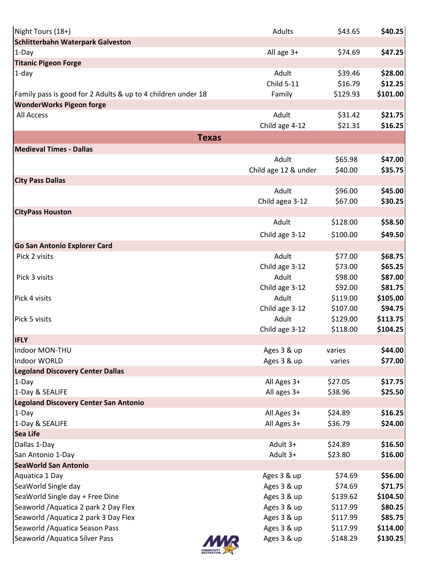| Night Tours (18+)                                            | Adults                  | \$43.65              | \$40.25              |
|--------------------------------------------------------------|-------------------------|----------------------|----------------------|
| Schlitterbahn Waterpark Galveston                            |                         |                      |                      |
| 1-Day                                                        | All age 3+              | \$74.69              | \$47.25              |
| <b>Titanic Pigeon Forge</b>                                  |                         |                      |                      |
| $1$ -day                                                     | Adult                   | \$39.46              | \$28.00              |
|                                                              | <b>Child 5-11</b>       | \$16.79              | \$12.25              |
| Family pass is good for 2 Adults & up to 4 children under 18 | Family                  | \$129.93             | \$101.00             |
| <b>WonderWorks Pigeon forge</b>                              |                         |                      |                      |
| All Access                                                   | Adult                   | \$31.42              | \$21.75              |
|                                                              | Child age 4-12          | \$21.31              | \$16.25              |
| <b>Texas</b>                                                 |                         |                      |                      |
| <b>Medieval Times - Dallas</b>                               |                         |                      |                      |
|                                                              | Adult                   | \$65.98              | \$47.00              |
|                                                              | Child age 12 & under    | \$40.00              | \$35.75              |
| <b>City Pass Dallas</b>                                      |                         |                      |                      |
|                                                              | Adult                   | \$96.00              | \$45.00              |
|                                                              | Child agea 3-12         | \$67.00              | \$30.25              |
| <b>CityPass Houston</b>                                      |                         |                      |                      |
|                                                              | Adult                   | \$128.00             | \$58.50              |
|                                                              |                         | \$100.00             | \$49.50              |
|                                                              | Child age 3-12          |                      |                      |
| <b>Go San Antonio Explorer Card</b>                          |                         |                      |                      |
| Pick 2 visits                                                | Adult                   | \$77.00              | \$68.75              |
|                                                              | Child age 3-12          | \$73.00              | \$65.25              |
| Pick 3 visits                                                | Adult                   | \$98.00              | \$87.00              |
|                                                              | Child age 3-12          | \$92.00              | \$81.75              |
| Pick 4 visits                                                | Adult                   | \$119.00             | \$105.00             |
|                                                              | Child age 3-12<br>Adult | \$107.00             | \$94.75              |
| Pick 5 visits                                                |                         | \$129.00<br>\$118.00 | \$113.75<br>\$104.25 |
| <b>IFLY</b>                                                  | Child age 3-12          |                      |                      |
| Indoor MON-THU                                               | Ages 3 & up             |                      | \$44.00              |
| Indoor WORLD                                                 | Ages 3 & up             | varies<br>varies     | \$77.00              |
| <b>Legoland Discovery Center Dallas</b>                      |                         |                      |                      |
| 1-Day                                                        | All Ages 3+             | \$27.05              | \$17.75              |
| 1-Day & SEALIFE                                              | All ages 3+             | \$38.96              | \$25.50              |
| <b>Legoland Discovery Center San Antonio</b>                 |                         |                      |                      |
| 1-Day                                                        | All Ages 3+             | \$24.89              | \$16.25              |
| 1-Day & SEALIFE                                              | All Ages 3+             | \$36.79              | \$24.00              |
| Sea Life                                                     |                         |                      |                      |
| Dallas 1-Day                                                 | Adult 3+                | \$24.89              | \$16.50              |
| San Antonio 1-Day                                            | Adult 3+                | \$23.80              | \$16.00              |
| <b>SeaWorld San Antonio</b>                                  |                         |                      |                      |
| Aquatica 1 Day                                               | Ages 3 & up             | \$74.69              | \$56.00              |
| SeaWorld Single day                                          | Ages 3 & up             | \$74.69              | \$71.75              |
| SeaWorld Single day + Free Dine                              | Ages 3 & up             | \$139.62             | \$104.50             |
| Seaworld / Aquatica 2 park 2 Day Flex                        | Ages 3 & up             | \$117.99             | \$80.25              |
| Seaworld / Aquatica 2 park 3 Day Flex                        | Ages 3 & up             | \$117.99             | \$85.75              |
| Seaworld / Aquatica Season Pass                              | Ages 3 & up             | \$117.99             | \$114.00             |
| Seaworld / Aquatica Silver Pass                              | Ages 3 & up             | \$148.29             | \$130.25             |
|                                                              |                         |                      |                      |